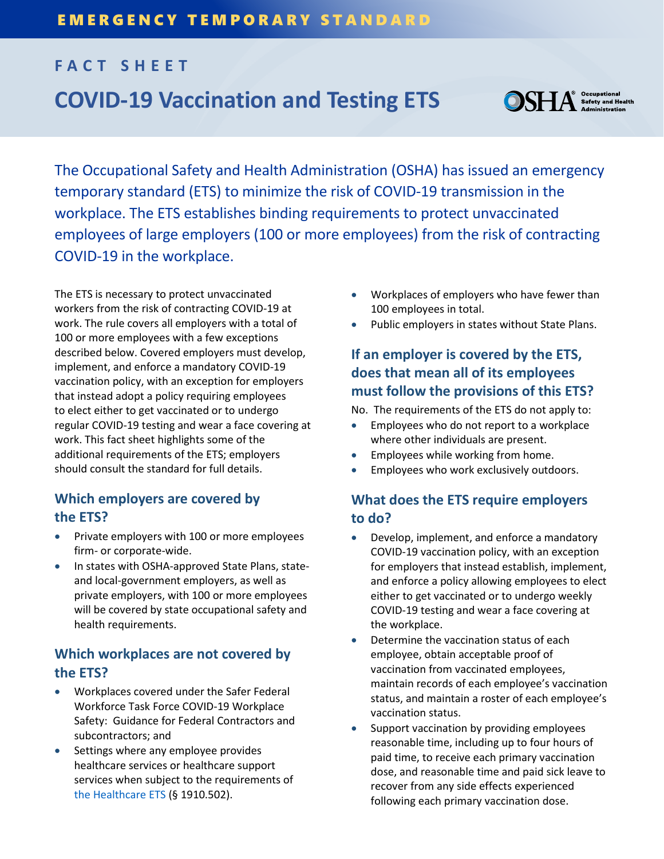# **FACT SHEET COVID-19 Vaccination and Testing ETS**



<sup>9</sup> Occupational<br>Safety and Health<br>⊾ Administration

The Occupational Safety and Health Administration (OSHA) has issued an emergency temporary standard (ETS) to minimize the risk of COVID-19 transmission in the workplace. The ETS establishes binding requirements to protect unvaccinated employees of large employers (100 or more employees) from the risk of contracting COVID-19 in the workplace.

The ETS is necessary to protect unvaccinated workers from the risk of contracting COVID-19 at work. The rule covers all employers with a total of 100 or more employees with a few exceptions described below. Covered employers must develop, implement, and enforce a mandatory COVID-19 vaccination policy, with an exception for employers that instead adopt a policy requiring employees to elect either to get vaccinated or to undergo regular COVID-19 testing and wear a face covering at work. This fact sheet highlights some of the additional requirements of the ETS; employers should consult the standard for full details.

## **Which employers are covered by the ETS?**

- Private employers with 100 or more employees firm- or corporate-wide.
- In states with OSHA-approved State Plans, stateand local-government employers, as well as private employers, with 100 or more employees will be covered by state occupational safety and health requirements.

## **Which workplaces are not covered by the ETS?**

- Workplaces covered under the Safer Federal Workforce Task Force COVID-19 Workplace Safety: Guidance for Federal Contractors and subcontractors; and
- Settings where any employee provides healthcare services or healthcare support services when subject to the requirements of the [Healthcare ETS](https://www.osha.gov/coronavirus/ets) (§ 1910.502).
- Workplaces of employers who have fewer than 100 employees in total.
- Public employers in states without State Plans.

# **If an employer is covered by the ETS, does that mean all of its employees must follow the provisions of this ETS?**

No. The requirements of the ETS do not apply to:

- Employees who do not report to a workplace where other individuals are present.
- Employees while working from home.
- Employees who work exclusively outdoors.

# **What does the ETS require employers to do?**

- Develop, implement, and enforce a mandatory COVID-19 vaccination policy, with an exception for employers that instead establish, implement, and enforce a policy allowing employees to elect either to get vaccinated or to undergo weekly COVID-19 testing and wear a face covering at the workplace.
- Determine the vaccination status of each employee, obtain acceptable proof of vaccination from vaccinated employees, maintain records of each employee's vaccination status, and maintain a roster of each employee's vaccination status.
- Support vaccination by providing employees reasonable time, including up to four hours of paid time, to receive each primary vaccination dose, and reasonable time and paid sick leave to recover from any side effects experienced following each primary vaccination dose.